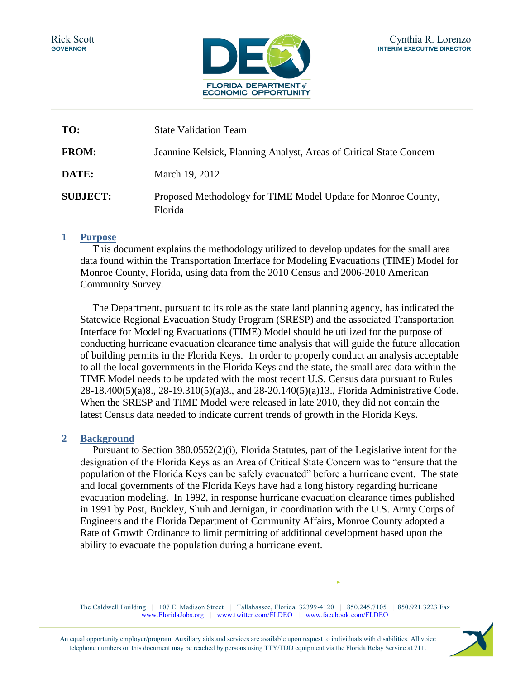

| TO:             | <b>State Validation Team</b>                                             |  |  |
|-----------------|--------------------------------------------------------------------------|--|--|
| <b>FROM:</b>    | Jeannine Kelsick, Planning Analyst, Areas of Critical State Concern      |  |  |
| DATE:           | March 19, 2012                                                           |  |  |
| <b>SUBJECT:</b> | Proposed Methodology for TIME Model Update for Monroe County,<br>Florida |  |  |

#### **1 Purpose**

This document explains the methodology utilized to develop updates for the small area data found within the Transportation Interface for Modeling Evacuations (TIME) Model for Monroe County, Florida, using data from the 2010 Census and 2006-2010 American Community Survey.

The Department, pursuant to its role as the state land planning agency, has indicated the Statewide Regional Evacuation Study Program (SRESP) and the associated Transportation Interface for Modeling Evacuations (TIME) Model should be utilized for the purpose of conducting hurricane evacuation clearance time analysis that will guide the future allocation of building permits in the Florida Keys. In order to properly conduct an analysis acceptable to all the local governments in the Florida Keys and the state, the small area data within the TIME Model needs to be updated with the most recent U.S. Census data pursuant to Rules 28-18.400(5)(a)8., 28-19.310(5)(a)3., and 28-20.140(5)(a)13., Florida Administrative Code. When the SRESP and TIME Model were released in late 2010, they did not contain the latest Census data needed to indicate current trends of growth in the Florida Keys.

## **2 Background**

Pursuant to Section 380.0552(2)(i), Florida Statutes, part of the Legislative intent for the designation of the Florida Keys as an Area of Critical State Concern was to "ensure that the population of the Florida Keys can be safely evacuated" before a hurricane event. The state and local governments of the Florida Keys have had a long history regarding hurricane evacuation modeling. In 1992, in response hurricane evacuation clearance times published in 1991 by Post, Buckley, Shuh and Jernigan, in coordination with the U.S. Army Corps of Engineers and the Florida Department of Community Affairs, Monroe County adopted a Rate of Growth Ordinance to limit permitting of additional development based upon the ability to evacuate the population during a hurricane event.

The Caldwell Building | 107 E. Madison Street | Tallahassee, Florida 32399-4120 | 850.245.7105 | 850.921.3223 Fax www.FloridaJobs.org | www.twitter.com/FLDEO | www.facebook.com/FLDEO

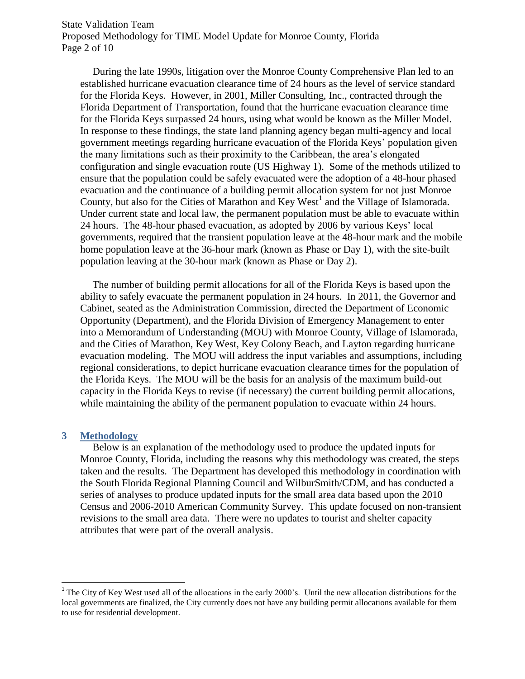State Validation Team Proposed Methodology for TIME Model Update for Monroe County, Florida Page 2 of 10

During the late 1990s, litigation over the Monroe County Comprehensive Plan led to an established hurricane evacuation clearance time of 24 hours as the level of service standard for the Florida Keys. However, in 2001, Miller Consulting, Inc., contracted through the Florida Department of Transportation, found that the hurricane evacuation clearance time for the Florida Keys surpassed 24 hours, using what would be known as the Miller Model. In response to these findings, the state land planning agency began multi-agency and local government meetings regarding hurricane evacuation of the Florida Keys' population given the many limitations such as their proximity to the Caribbean, the area's elongated configuration and single evacuation route (US Highway 1). Some of the methods utilized to ensure that the population could be safely evacuated were the adoption of a 48-hour phased evacuation and the continuance of a building permit allocation system for not just Monroe County, but also for the Cities of Marathon and Key West<sup>1</sup> and the Village of Islamorada. Under current state and local law, the permanent population must be able to evacuate within 24 hours. The 48-hour phased evacuation, as adopted by 2006 by various Keys' local governments, required that the transient population leave at the 48-hour mark and the mobile home population leave at the 36-hour mark (known as Phase or Day 1), with the site-built population leaving at the 30-hour mark (known as Phase or Day 2).

The number of building permit allocations for all of the Florida Keys is based upon the ability to safely evacuate the permanent population in 24 hours. In 2011, the Governor and Cabinet, seated as the Administration Commission, directed the Department of Economic Opportunity (Department), and the Florida Division of Emergency Management to enter into a Memorandum of Understanding (MOU) with Monroe County, Village of Islamorada, and the Cities of Marathon, Key West, Key Colony Beach, and Layton regarding hurricane evacuation modeling. The MOU will address the input variables and assumptions, including regional considerations, to depict hurricane evacuation clearance times for the population of the Florida Keys. The MOU will be the basis for an analysis of the maximum build-out capacity in the Florida Keys to revise (if necessary) the current building permit allocations, while maintaining the ability of the permanent population to evacuate within 24 hours.

#### **3 Methodology**

 $\overline{\phantom{a}}$ 

Below is an explanation of the methodology used to produce the updated inputs for Monroe County, Florida, including the reasons why this methodology was created, the steps taken and the results. The Department has developed this methodology in coordination with the South Florida Regional Planning Council and WilburSmith/CDM, and has conducted a series of analyses to produce updated inputs for the small area data based upon the 2010 Census and 2006-2010 American Community Survey. This update focused on non-transient revisions to the small area data. There were no updates to tourist and shelter capacity attributes that were part of the overall analysis.

<sup>&</sup>lt;sup>1</sup> The City of Key West used all of the allocations in the early 2000's. Until the new allocation distributions for the local governments are finalized, the City currently does not have any building permit allocations available for them to use for residential development.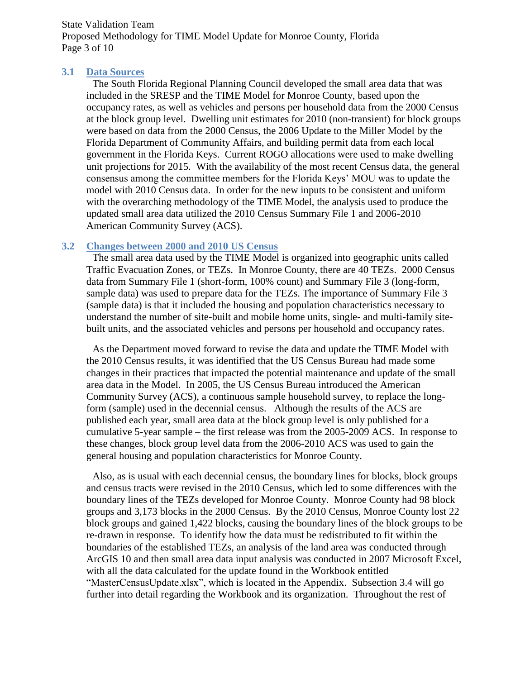State Validation Team Proposed Methodology for TIME Model Update for Monroe County, Florida Page 3 of 10

#### **3.1 Data Sources**

The South Florida Regional Planning Council developed the small area data that was included in the SRESP and the TIME Model for Monroe County, based upon the occupancy rates, as well as vehicles and persons per household data from the 2000 Census at the block group level. Dwelling unit estimates for 2010 (non-transient) for block groups were based on data from the 2000 Census, the 2006 Update to the Miller Model by the Florida Department of Community Affairs, and building permit data from each local government in the Florida Keys. Current ROGO allocations were used to make dwelling unit projections for 2015. With the availability of the most recent Census data, the general consensus among the committee members for the Florida Keys' MOU was to update the model with 2010 Census data. In order for the new inputs to be consistent and uniform with the overarching methodology of the TIME Model, the analysis used to produce the updated small area data utilized the 2010 Census Summary File 1 and 2006-2010 American Community Survey (ACS).

#### **3.2 Changes between 2000 and 2010 US Census**

The small area data used by the TIME Model is organized into geographic units called Traffic Evacuation Zones, or TEZs. In Monroe County, there are 40 TEZs. 2000 Census data from Summary File 1 (short-form, 100% count) and Summary File 3 (long-form, sample data) was used to prepare data for the TEZs. The importance of Summary File 3 (sample data) is that it included the housing and population characteristics necessary to understand the number of site-built and mobile home units, single- and multi-family sitebuilt units, and the associated vehicles and persons per household and occupancy rates.

As the Department moved forward to revise the data and update the TIME Model with the 2010 Census results, it was identified that the US Census Bureau had made some changes in their practices that impacted the potential maintenance and update of the small area data in the Model. In 2005, the US Census Bureau introduced the American Community Survey (ACS), a continuous sample household survey, to replace the longform (sample) used in the decennial census. Although the results of the ACS are published each year, small area data at the block group level is only published for a cumulative 5-year sample – the first release was from the 2005-2009 ACS. In response to these changes, block group level data from the 2006-2010 ACS was used to gain the general housing and population characteristics for Monroe County.

Also, as is usual with each decennial census, the boundary lines for blocks, block groups and census tracts were revised in the 2010 Census, which led to some differences with the boundary lines of the TEZs developed for Monroe County. Monroe County had 98 block groups and 3,173 blocks in the 2000 Census. By the 2010 Census, Monroe County lost 22 block groups and gained 1,422 blocks, causing the boundary lines of the block groups to be re-drawn in response. To identify how the data must be redistributed to fit within the boundaries of the established TEZs, an analysis of the land area was conducted through ArcGIS 10 and then small area data input analysis was conducted in 2007 Microsoft Excel, with all the data calculated for the update found in the Workbook entitled "MasterCensusUpdate.xlsx", which is located in the Appendix. Subsection 3.4 will go further into detail regarding the Workbook and its organization. Throughout the rest of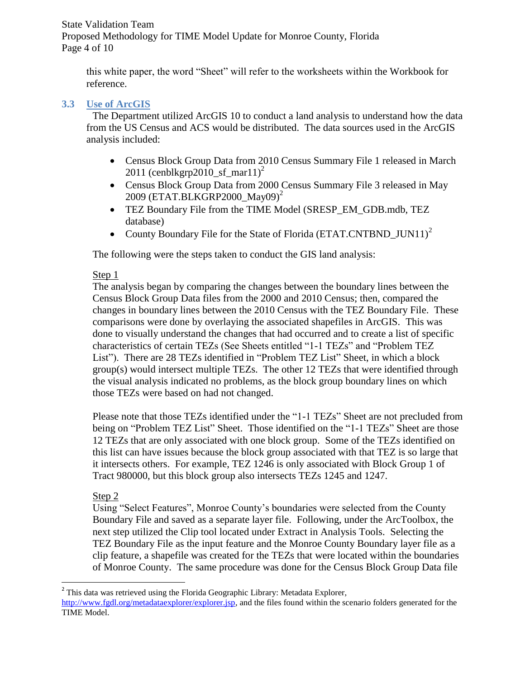State Validation Team Proposed Methodology for TIME Model Update for Monroe County, Florida Page 4 of 10

this white paper, the word "Sheet" will refer to the worksheets within the Workbook for reference.

# **3.3 Use of ArcGIS**

The Department utilized ArcGIS 10 to conduct a land analysis to understand how the data from the US Census and ACS would be distributed. The data sources used in the ArcGIS analysis included:

- Census Block Group Data from 2010 Census Summary File 1 released in March 2011 (cenblkgrp2010\_sf\_mar11)<sup>2</sup>
- Census Block Group Data from 2000 Census Summary File 3 released in May 2009 (ETAT.BLKGRP2000\_May09)<sup>2</sup>
- TEZ Boundary File from the TIME Model (SRESP\_EM\_GDB.mdb, TEZ database)
- County Boundary File for the State of Florida (ETAT.CNTBND\_JUN11)<sup>2</sup>

The following were the steps taken to conduct the GIS land analysis:

# Step 1

The analysis began by comparing the changes between the boundary lines between the Census Block Group Data files from the 2000 and 2010 Census; then, compared the changes in boundary lines between the 2010 Census with the TEZ Boundary File. These comparisons were done by overlaying the associated shapefiles in ArcGIS. This was done to visually understand the changes that had occurred and to create a list of specific characteristics of certain TEZs (See Sheets entitled "1-1 TEZs" and "Problem TEZ List"). There are 28 TEZs identified in "Problem TEZ List" Sheet, in which a block group(s) would intersect multiple TEZs. The other 12 TEZs that were identified through the visual analysis indicated no problems, as the block group boundary lines on which those TEZs were based on had not changed.

Please note that those TEZs identified under the "1-1 TEZs" Sheet are not precluded from being on "Problem TEZ List" Sheet. Those identified on the "1-1 TEZs" Sheet are those 12 TEZs that are only associated with one block group. Some of the TEZs identified on this list can have issues because the block group associated with that TEZ is so large that it intersects others. For example, TEZ 1246 is only associated with Block Group 1 of Tract 980000, but this block group also intersects TEZs 1245 and 1247.

## Step 2

 $\overline{\phantom{a}}$ 

Using "Select Features", Monroe County's boundaries were selected from the County Boundary File and saved as a separate layer file. Following, under the ArcToolbox, the next step utilized the Clip tool located under Extract in Analysis Tools. Selecting the TEZ Boundary File as the input feature and the Monroe County Boundary layer file as a clip feature, a shapefile was created for the TEZs that were located within the boundaries of Monroe County. The same procedure was done for the Census Block Group Data file

<sup>&</sup>lt;sup>2</sup> This data was retrieved using the Florida Geographic Library: Metadata Explorer, [http://www.fgdl.org/metadataexplorer/explorer.jsp,](http://www.fgdl.org/metadataexplorer/explorer.jsp) and the files found within the scenario folders generated for the TIME Model.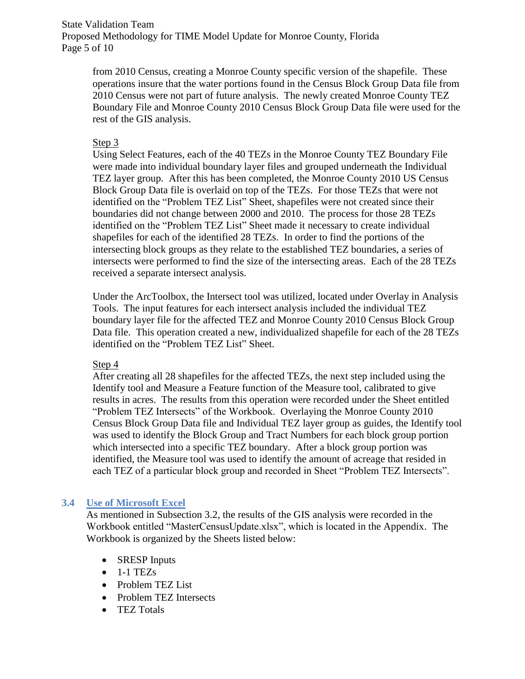State Validation Team Proposed Methodology for TIME Model Update for Monroe County, Florida Page 5 of 10

from 2010 Census, creating a Monroe County specific version of the shapefile. These operations insure that the water portions found in the Census Block Group Data file from 2010 Census were not part of future analysis. The newly created Monroe County TEZ Boundary File and Monroe County 2010 Census Block Group Data file were used for the rest of the GIS analysis.

## Step 3

Using Select Features, each of the 40 TEZs in the Monroe County TEZ Boundary File were made into individual boundary layer files and grouped underneath the Individual TEZ layer group. After this has been completed, the Monroe County 2010 US Census Block Group Data file is overlaid on top of the TEZs. For those TEZs that were not identified on the "Problem TEZ List" Sheet, shapefiles were not created since their boundaries did not change between 2000 and 2010. The process for those 28 TEZs identified on the "Problem TEZ List" Sheet made it necessary to create individual shapefiles for each of the identified 28 TEZs. In order to find the portions of the intersecting block groups as they relate to the established TEZ boundaries, a series of intersects were performed to find the size of the intersecting areas. Each of the 28 TEZs received a separate intersect analysis.

Under the ArcToolbox, the Intersect tool was utilized, located under Overlay in Analysis Tools. The input features for each intersect analysis included the individual TEZ boundary layer file for the affected TEZ and Monroe County 2010 Census Block Group Data file. This operation created a new, individualized shapefile for each of the 28 TEZs identified on the "Problem TEZ List" Sheet.

## Step 4

After creating all 28 shapefiles for the affected TEZs, the next step included using the Identify tool and Measure a Feature function of the Measure tool, calibrated to give results in acres. The results from this operation were recorded under the Sheet entitled "Problem TEZ Intersects" of the Workbook. Overlaying the Monroe County 2010 Census Block Group Data file and Individual TEZ layer group as guides, the Identify tool was used to identify the Block Group and Tract Numbers for each block group portion which intersected into a specific TEZ boundary. After a block group portion was identified, the Measure tool was used to identify the amount of acreage that resided in each TEZ of a particular block group and recorded in Sheet "Problem TEZ Intersects".

## **3.4 Use of Microsoft Excel**

As mentioned in Subsection 3.2, the results of the GIS analysis were recorded in the Workbook entitled "MasterCensusUpdate.xlsx", which is located in the Appendix. The Workbook is organized by the Sheets listed below:

- SRESP Inputs
- $\bullet$  1-1 TEZs
- Problem TEZ List
- Problem TEZ Intersects
- TEZ Totals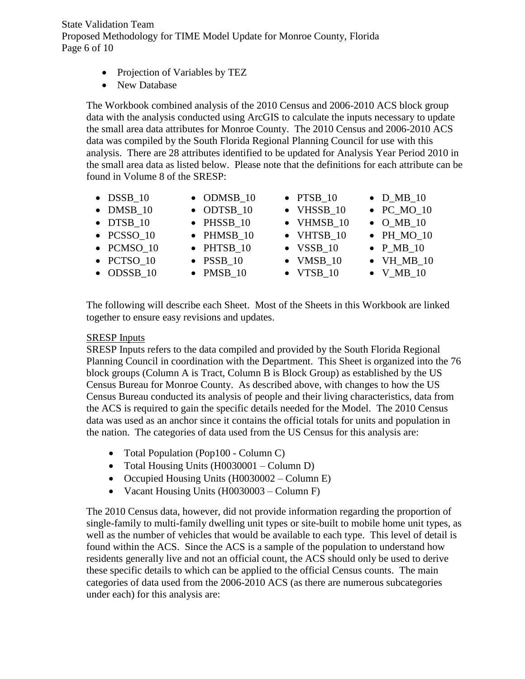State Validation Team Proposed Methodology for TIME Model Update for Monroe County, Florida Page 6 of 10

- Projection of Variables by TEZ
- New Database

The Workbook combined analysis of the 2010 Census and 2006-2010 ACS block group data with the analysis conducted using ArcGIS to calculate the inputs necessary to update the small area data attributes for Monroe County. The 2010 Census and 2006-2010 ACS data was compiled by the South Florida Regional Planning Council for use with this analysis. There are 28 attributes identified to be updated for Analysis Year Period 2010 in the small area data as listed below. Please note that the definitions for each attribute can be found in Volume 8 of the SRESP:

| $\bullet$ DSSB_10  | $\bullet$ ODMSB 10 | $\bullet$ PTSB_10  | $\bullet$ D_MB_10  |
|--------------------|--------------------|--------------------|--------------------|
| $\bullet$ DMSB_10  | $\bullet$ ODTSB_10 | • VHSSB 10         | $\bullet$ PC_MO_10 |
| $\bullet$ DTSB 10  | $\bullet$ PHSSB_10 | • VHMSB 10         | $\bullet$ O_MB_10  |
| $\bullet$ PCSSO 10 | · PHMSB 10         | $\bullet$ VHTSB 10 | $\bullet$ PH MO 10 |
| • PCMSO 10         | $\bullet$ PHTSB 10 | $\bullet$ VSSB 10  | $\bullet$ P_MB_10  |
| $\bullet$ PCTSO 10 | $\bullet$ PSSB 10  | $\bullet$ VMSB 10  | $\bullet$ VH_MB_10 |
| $\bullet$ ODSSB 10 | $\bullet$ PMSB_10  | $\bullet$ VTSB 10  | $\bullet$ V_MB_10  |

The following will describe each Sheet. Most of the Sheets in this Workbook are linked together to ensure easy revisions and updates.

#### SRESP Inputs

SRESP Inputs refers to the data compiled and provided by the South Florida Regional Planning Council in coordination with the Department. This Sheet is organized into the 76 block groups (Column A is Tract, Column B is Block Group) as established by the US Census Bureau for Monroe County. As described above, with changes to how the US Census Bureau conducted its analysis of people and their living characteristics, data from the ACS is required to gain the specific details needed for the Model. The 2010 Census data was used as an anchor since it contains the official totals for units and population in the nation. The categories of data used from the US Census for this analysis are:

- Total Population (Pop100 Column C)
- Total Housing Units (H0030001 Column D)
- Occupied Housing Units (H0030002 Column E)
- Vacant Housing Units (H0030003 Column F)

The 2010 Census data, however, did not provide information regarding the proportion of single-family to multi-family dwelling unit types or site-built to mobile home unit types, as well as the number of vehicles that would be available to each type. This level of detail is found within the ACS. Since the ACS is a sample of the population to understand how residents generally live and not an official count, the ACS should only be used to derive these specific details to which can be applied to the official Census counts. The main categories of data used from the 2006-2010 ACS (as there are numerous subcategories under each) for this analysis are: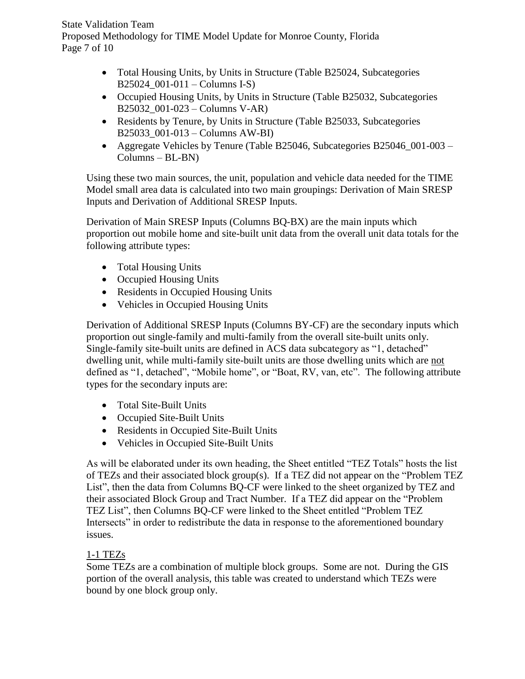State Validation Team Proposed Methodology for TIME Model Update for Monroe County, Florida Page 7 of 10

- Total Housing Units, by Units in Structure (Table B25024, Subcategories B25024\_001-011 – Columns I-S)
- Occupied Housing Units, by Units in Structure (Table B25032, Subcategories B25032\_001-023 – Columns V-AR)
- Residents by Tenure, by Units in Structure (Table B25033, Subcategories B25033\_001-013 – Columns AW-BI)
- Aggregate Vehicles by Tenure (Table B25046, Subcategories B25046\_001-003 Columns – BL-BN)

Using these two main sources, the unit, population and vehicle data needed for the TIME Model small area data is calculated into two main groupings: Derivation of Main SRESP Inputs and Derivation of Additional SRESP Inputs.

Derivation of Main SRESP Inputs (Columns BQ-BX) are the main inputs which proportion out mobile home and site-built unit data from the overall unit data totals for the following attribute types:

- Total Housing Units
- Occupied Housing Units
- Residents in Occupied Housing Units
- Vehicles in Occupied Housing Units

Derivation of Additional SRESP Inputs (Columns BY-CF) are the secondary inputs which proportion out single-family and multi-family from the overall site-built units only. Single-family site-built units are defined in ACS data subcategory as "1, detached" dwelling unit, while multi-family site-built units are those dwelling units which are not defined as "1, detached", "Mobile home", or "Boat, RV, van, etc". The following attribute types for the secondary inputs are:

- Total Site-Built Units
- Occupied Site-Built Units
- Residents in Occupied Site-Built Units
- Vehicles in Occupied Site-Built Units

As will be elaborated under its own heading, the Sheet entitled "TEZ Totals" hosts the list of TEZs and their associated block group(s). If a TEZ did not appear on the "Problem TEZ List", then the data from Columns BQ-CF were linked to the sheet organized by TEZ and their associated Block Group and Tract Number. If a TEZ did appear on the "Problem TEZ List", then Columns BQ-CF were linked to the Sheet entitled "Problem TEZ Intersects" in order to redistribute the data in response to the aforementioned boundary issues.

# 1-1 TEZs

Some TEZs are a combination of multiple block groups. Some are not. During the GIS portion of the overall analysis, this table was created to understand which TEZs were bound by one block group only.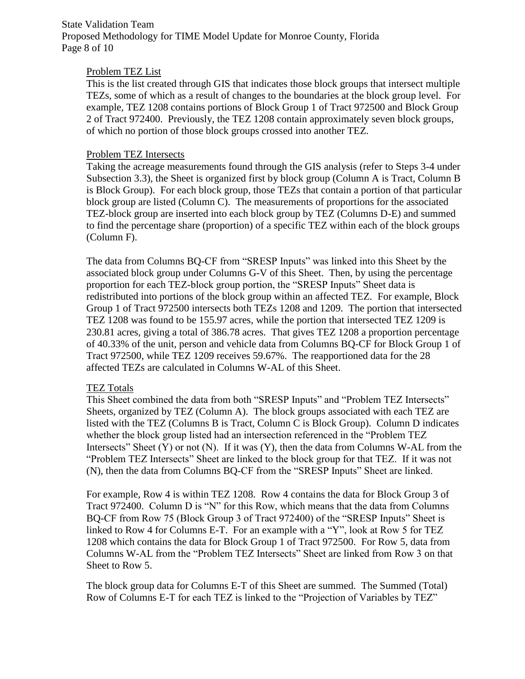State Validation Team Proposed Methodology for TIME Model Update for Monroe County, Florida Page 8 of 10

#### Problem TEZ List

This is the list created through GIS that indicates those block groups that intersect multiple TEZs, some of which as a result of changes to the boundaries at the block group level. For example, TEZ 1208 contains portions of Block Group 1 of Tract 972500 and Block Group 2 of Tract 972400. Previously, the TEZ 1208 contain approximately seven block groups, of which no portion of those block groups crossed into another TEZ.

#### Problem TEZ Intersects

Taking the acreage measurements found through the GIS analysis (refer to Steps 3-4 under Subsection 3.3), the Sheet is organized first by block group (Column A is Tract, Column B is Block Group). For each block group, those TEZs that contain a portion of that particular block group are listed (Column C). The measurements of proportions for the associated TEZ-block group are inserted into each block group by TEZ (Columns D-E) and summed to find the percentage share (proportion) of a specific TEZ within each of the block groups (Column F).

The data from Columns BQ-CF from "SRESP Inputs" was linked into this Sheet by the associated block group under Columns G-V of this Sheet. Then, by using the percentage proportion for each TEZ-block group portion, the "SRESP Inputs" Sheet data is redistributed into portions of the block group within an affected TEZ. For example, Block Group 1 of Tract 972500 intersects both TEZs 1208 and 1209. The portion that intersected TEZ 1208 was found to be 155.97 acres, while the portion that intersected TEZ 1209 is 230.81 acres, giving a total of 386.78 acres. That gives TEZ 1208 a proportion percentage of 40.33% of the unit, person and vehicle data from Columns BQ-CF for Block Group 1 of Tract 972500, while TEZ 1209 receives 59.67%. The reapportioned data for the 28 affected TEZs are calculated in Columns W-AL of this Sheet.

## TEZ Totals

This Sheet combined the data from both "SRESP Inputs" and "Problem TEZ Intersects" Sheets, organized by TEZ (Column A). The block groups associated with each TEZ are listed with the TEZ (Columns B is Tract, Column C is Block Group). Column D indicates whether the block group listed had an intersection referenced in the "Problem TEZ Intersects" Sheet  $(Y)$  or not  $(N)$ . If it was  $(Y)$ , then the data from Columns W-AL from the "Problem TEZ Intersects" Sheet are linked to the block group for that TEZ. If it was not (N), then the data from Columns BQ-CF from the "SRESP Inputs" Sheet are linked.

For example, Row 4 is within TEZ 1208. Row 4 contains the data for Block Group 3 of Tract 972400. Column D is "N" for this Row, which means that the data from Columns BQ-CF from Row 75 (Block Group 3 of Tract 972400) of the "SRESP Inputs" Sheet is linked to Row 4 for Columns E-T. For an example with a "Y", look at Row 5 for TEZ 1208 which contains the data for Block Group 1 of Tract 972500. For Row 5, data from Columns W-AL from the "Problem TEZ Intersects" Sheet are linked from Row 3 on that Sheet to Row 5.

The block group data for Columns E-T of this Sheet are summed. The Summed (Total) Row of Columns E-T for each TEZ is linked to the "Projection of Variables by TEZ"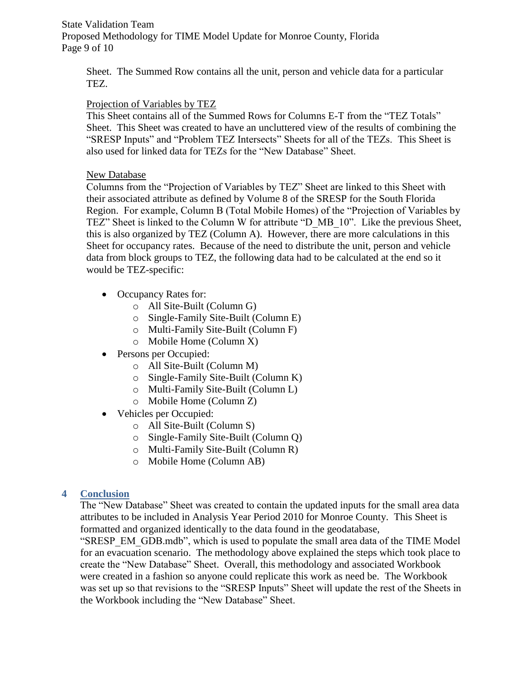State Validation Team Proposed Methodology for TIME Model Update for Monroe County, Florida Page 9 of 10

Sheet. The Summed Row contains all the unit, person and vehicle data for a particular TEZ.

# Projection of Variables by TEZ

This Sheet contains all of the Summed Rows for Columns E-T from the "TEZ Totals" Sheet. This Sheet was created to have an uncluttered view of the results of combining the "SRESP Inputs" and "Problem TEZ Intersects" Sheets for all of the TEZs. This Sheet is also used for linked data for TEZs for the "New Database" Sheet.

## New Database

Columns from the "Projection of Variables by TEZ" Sheet are linked to this Sheet with their associated attribute as defined by Volume 8 of the SRESP for the South Florida Region. For example, Column B (Total Mobile Homes) of the "Projection of Variables by TEZ" Sheet is linked to the Column W for attribute "D\_MB\_10". Like the previous Sheet, this is also organized by TEZ (Column A). However, there are more calculations in this Sheet for occupancy rates. Because of the need to distribute the unit, person and vehicle data from block groups to TEZ, the following data had to be calculated at the end so it would be TEZ-specific:

- Occupancy Rates for:
	- o All Site-Built (Column G)
	- o Single-Family Site-Built (Column E)
	- o Multi-Family Site-Built (Column F)
	- o Mobile Home (Column X)
- Persons per Occupied:
	- o All Site-Built (Column M)
	- o Single-Family Site-Built (Column K)
	- o Multi-Family Site-Built (Column L)
	- o Mobile Home (Column Z)
- Vehicles per Occupied:
	- o All Site-Built (Column S)
	- o Single-Family Site-Built (Column Q)
	- o Multi-Family Site-Built (Column R)
	- o Mobile Home (Column AB)

# **4 Conclusion**

The "New Database" Sheet was created to contain the updated inputs for the small area data attributes to be included in Analysis Year Period 2010 for Monroe County. This Sheet is formatted and organized identically to the data found in the geodatabase,

"SRESP\_EM\_GDB.mdb", which is used to populate the small area data of the TIME Model for an evacuation scenario. The methodology above explained the steps which took place to create the "New Database" Sheet. Overall, this methodology and associated Workbook were created in a fashion so anyone could replicate this work as need be. The Workbook was set up so that revisions to the "SRESP Inputs" Sheet will update the rest of the Sheets in the Workbook including the "New Database" Sheet.